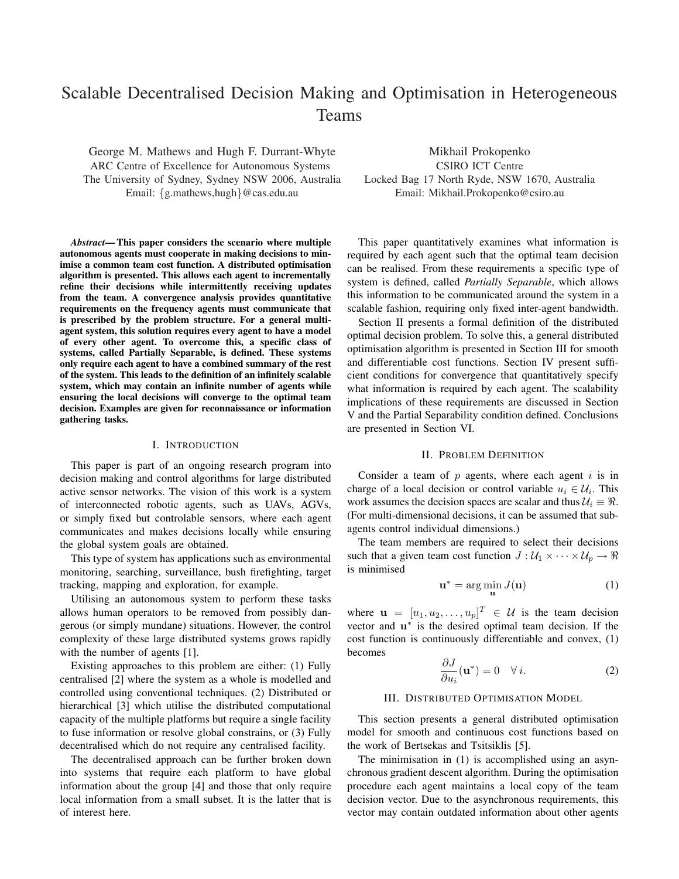# Scalable Decentralised Decision Making and Optimisation in Heterogeneous Teams

George M. Mathews and Hugh F. Durrant-Whyte ARC Centre of Excellence for Autonomous Systems The University of Sydney, Sydney NSW 2006, Australia Email: {g.mathews,hugh}@cas.edu.au

*Abstract*— This paper considers the scenario where multiple autonomous agents must cooperate in making decisions to minimise a common team cost function. A distributed optimisation algorithm is presented. This allows each agent to incrementally refine their decisions while intermittently receiving updates from the team. A convergence analysis provides quantitative requirements on the frequency agents must communicate that is prescribed by the problem structure. For a general multiagent system, this solution requires every agent to have a model of every other agent. To overcome this, a specific class of systems, called Partially Separable, is defined. These systems only require each agent to have a combined summary of the rest of the system. This leads to the definition of an infinitely scalable system, which may contain an infinite number of agents while ensuring the local decisions will converge to the optimal team decision. Examples are given for reconnaissance or information gathering tasks.

#### I. INTRODUCTION

This paper is part of an ongoing research program into decision making and control algorithms for large distributed active sensor networks. The vision of this work is a system of interconnected robotic agents, such as UAVs, AGVs, or simply fixed but controlable sensors, where each agent communicates and makes decisions locally while ensuring the global system goals are obtained.

This type of system has applications such as environmental monitoring, searching, surveillance, bush firefighting, target tracking, mapping and exploration, for example.

Utilising an autonomous system to perform these tasks allows human operators to be removed from possibly dangerous (or simply mundane) situations. However, the control complexity of these large distributed systems grows rapidly with the number of agents [1].

Existing approaches to this problem are either: (1) Fully centralised [2] where the system as a whole is modelled and controlled using conventional techniques. (2) Distributed or hierarchical [3] which utilise the distributed computational capacity of the multiple platforms but require a single facility to fuse information or resolve global constrains, or (3) Fully decentralised which do not require any centralised facility.

The decentralised approach can be further broken down into systems that require each platform to have global information about the group [4] and those that only require local information from a small subset. It is the latter that is of interest here.

Mikhail Prokopenko CSIRO ICT Centre Locked Bag 17 North Ryde, NSW 1670, Australia Email: Mikhail.Prokopenko@csiro.au

This paper quantitatively examines what information is required by each agent such that the optimal team decision can be realised. From these requirements a specific type of system is defined, called *Partially Separable*, which allows this information to be communicated around the system in a scalable fashion, requiring only fixed inter-agent bandwidth.

Section II presents a formal definition of the distributed optimal decision problem. To solve this, a general distributed optimisation algorithm is presented in Section III for smooth and differentiable cost functions. Section IV present sufficient conditions for convergence that quantitatively specify what information is required by each agent. The scalability implications of these requirements are discussed in Section V and the Partial Separability condition defined. Conclusions are presented in Section VI.

#### II. PROBLEM DEFINITION

Consider a team of  $p$  agents, where each agent  $i$  is in charge of a local decision or control variable  $u_i \in U_i$ . This work assumes the decision spaces are scalar and thus  $\mathcal{U}_i \equiv \Re$ . (For multi-dimensional decisions, it can be assumed that subagents control individual dimensions.)

The team members are required to select their decisions such that a given team cost function  $J: \mathcal{U}_1 \times \cdots \times \mathcal{U}_p \to \mathbb{R}$ is minimised

$$
\mathbf{u}^* = \arg\min_{\mathbf{u}} J(\mathbf{u})
$$
 (1)

where  $\mathbf{u} = [u_1, u_2, \dots, u_p]^T \in \mathcal{U}$  is the team decision vector and  $\mathbf{u}^*$  is the desired optimal team decision. If the cost function is continuously differentiable and convex, (1) becomes

$$
\frac{\partial J}{\partial u_i}(\mathbf{u}^*) = 0 \quad \forall i.
$$
 (2)

## III. DISTRIBUTED OPTIMISATION MODEL

This section presents a general distributed optimisation model for smooth and continuous cost functions based on the work of Bertsekas and Tsitsiklis [5].

The minimisation in (1) is accomplished using an asynchronous gradient descent algorithm. During the optimisation procedure each agent maintains a local copy of the team decision vector. Due to the asynchronous requirements, this vector may contain outdated information about other agents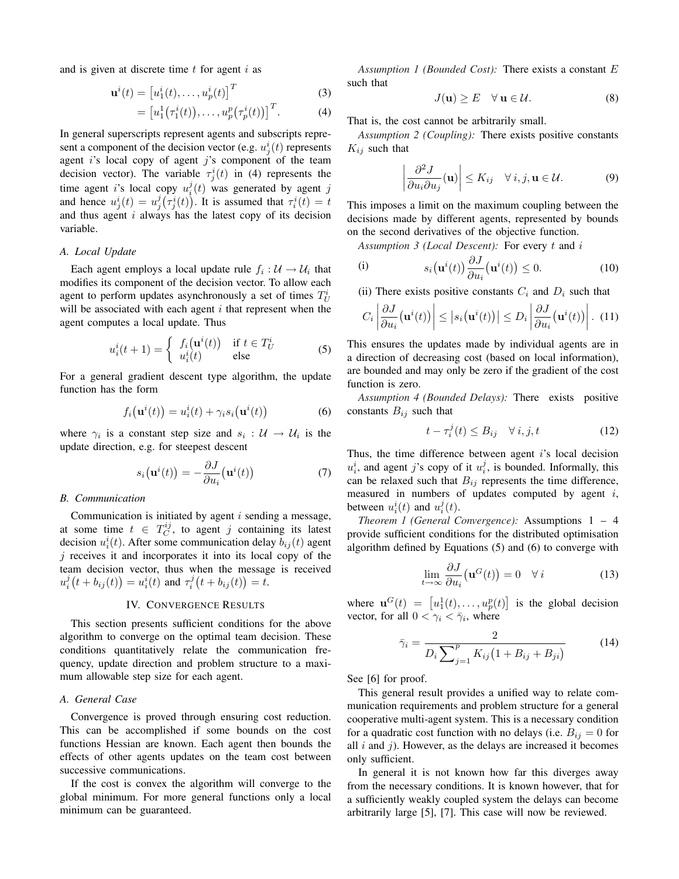and is given at discrete time  $t$  for agent  $i$  as

$$
\mathbf{u}^{i}(t) = \begin{bmatrix} u_{1}^{i}(t), \dots, u_{p}^{i}(t) \end{bmatrix}^{T}
$$
 (3)

$$
= \left[u_1^1(\tau_1^i(t)), \ldots, u_p^p(\tau_p^i(t))\right]^T.
$$
 (4)

In general superscripts represent agents and subscripts represent a component of the decision vector (e.g.  $u_j^i(t)$  represents agent  $i$ 's local copy of agent  $j$ 's component of the team decision vector). The variable  $\tau_j^i(t)$  in (4) represents the time agent i's local copy  $u_i^j(t)$  was generated by agent j and hence  $u_j^i(t) = u_j^j(\tau_j^i(t))$ . It is assumed that  $\tau_i^i(t) = t$ and thus agent  $i$  always has the latest copy of its decision variable.

## *A. Local Update*

Each agent employs a local update rule  $f_i: \mathcal{U} \to \mathcal{U}_i$  that modifies its component of the decision vector. To allow each agent to perform updates asynchronously a set of times  $T_U^i$ will be associated with each agent  $i$  that represent when the agent computes a local update. Thus

$$
u_i^i(t+1) = \begin{cases} f_i(\mathbf{u}^i(t)) & \text{if } t \in T_U^i \\ u_i^i(t) & \text{else} \end{cases}
$$
(5)

For a general gradient descent type algorithm, the update function has the form

$$
f_i\big(\mathbf{u}^i(t)\big) = u_i^i(t) + \gamma_i s_i\big(\mathbf{u}^i(t)\big) \tag{6}
$$

where  $\gamma_i$  is a constant step size and  $s_i : U \to U_i$  is the update direction, e.g. for steepest descent

$$
s_i(\mathbf{u}^i(t)) = -\frac{\partial J}{\partial u_i}(\mathbf{u}^i(t))\tag{7}
$$

#### *B. Communication*

Communication is initiated by agent  $i$  sending a message, at some time  $t \in T_C^{ij}$ , to agent j containing its latest decision  $u_i^i(t)$ . After some communication delay  $b_{ij}(t)$  agent  $j$  receives it and incorporates it into its local copy of the team decision vector, thus when the message is received  $u_i^j(t + b_{ij}(t)) = u_i^i(t)$  and  $\tau_i^j(t + b_{ij}(t)) = t$ .

## IV. CONVERGENCE RESULTS

This section presents sufficient conditions for the above algorithm to converge on the optimal team decision. These conditions quantitatively relate the communication frequency, update direction and problem structure to a maximum allowable step size for each agent.

## *A. General Case*

Convergence is proved through ensuring cost reduction. This can be accomplished if some bounds on the cost functions Hessian are known. Each agent then bounds the effects of other agents updates on the team cost between successive communications.

If the cost is convex the algorithm will converge to the global minimum. For more general functions only a local minimum can be guaranteed.

*Assumption 1 (Bounded Cost):* There exists a constant E such that

$$
J(\mathbf{u}) \ge E \quad \forall \, \mathbf{u} \in \mathcal{U}.\tag{8}
$$

That is, the cost cannot be arbitrarily small.

*Assumption 2 (Coupling):* There exists positive constants  $K_{ij}$  such that

$$
\left|\frac{\partial^2 J}{\partial u_i \partial u_j}(\mathbf{u})\right| \le K_{ij} \quad \forall i, j, \mathbf{u} \in \mathcal{U}.
$$
 (9)

This imposes a limit on the maximum coupling between the decisions made by different agents, represented by bounds on the second derivatives of the objective function.

*Assumption 3 (Local Descent):* For every t and i

(i) 
$$
s_i(\mathbf{u}^i(t)) \frac{\partial J}{\partial u_i}(\mathbf{u}^i(t)) \leq 0.
$$
 (10)

(ii) There exists positive constants  $C_i$  and  $D_i$  such that

$$
C_i \left| \frac{\partial J}{\partial u_i}(\mathbf{u}^i(t)) \right| \leq |s_i(\mathbf{u}^i(t))| \leq D_i \left| \frac{\partial J}{\partial u_i}(\mathbf{u}^i(t)) \right| . \tag{11}
$$

This ensures the updates made by individual agents are in a direction of decreasing cost (based on local information), are bounded and may only be zero if the gradient of the cost function is zero.

*Assumption 4 (Bounded Delays):* There exists positive constants  $B_{ij}$  such that

$$
t - \tau_i^j(t) \le B_{ij} \quad \forall \, i, j, t \tag{12}
$$

Thus, the time difference between agent  $i$ 's local decision  $u_i^i$ , and agent j's copy of it  $u_i^j$ , is bounded. Informally, this can be relaxed such that  $B_{ij}$  represents the time difference, measured in numbers of updates computed by agent  $i$ , between  $u_i^i(t)$  and  $u_i^j(t)$ .

*Theorem 1 (General Convergence):* Assumptions 1 – 4 provide sufficient conditions for the distributed optimisation algorithm defined by Equations (5) and (6) to converge with

$$
\lim_{t \to \infty} \frac{\partial J}{\partial u_i}(\mathbf{u}^G(t)) = 0 \quad \forall i \tag{13}
$$

where  $\mathbf{u}^G(t) = [u_1^1(t), \dots, u_p^p(t)]$ l<br>E is the global decision vector, for all  $0 < \gamma_i < \overline{\gamma}_i$ , where

$$
\bar{\gamma}_i = \frac{2}{D_i \sum_{j=1}^p K_{ij} (1 + B_{ij} + B_{ji})}
$$
(14)

See [6] for proof.

This general result provides a unified way to relate communication requirements and problem structure for a general cooperative multi-agent system. This is a necessary condition for a quadratic cost function with no delays (i.e.  $B_{ij} = 0$  for all  $i$  and  $j$ ). However, as the delays are increased it becomes only sufficient.

In general it is not known how far this diverges away from the necessary conditions. It is known however, that for a sufficiently weakly coupled system the delays can become arbitrarily large [5], [7]. This case will now be reviewed.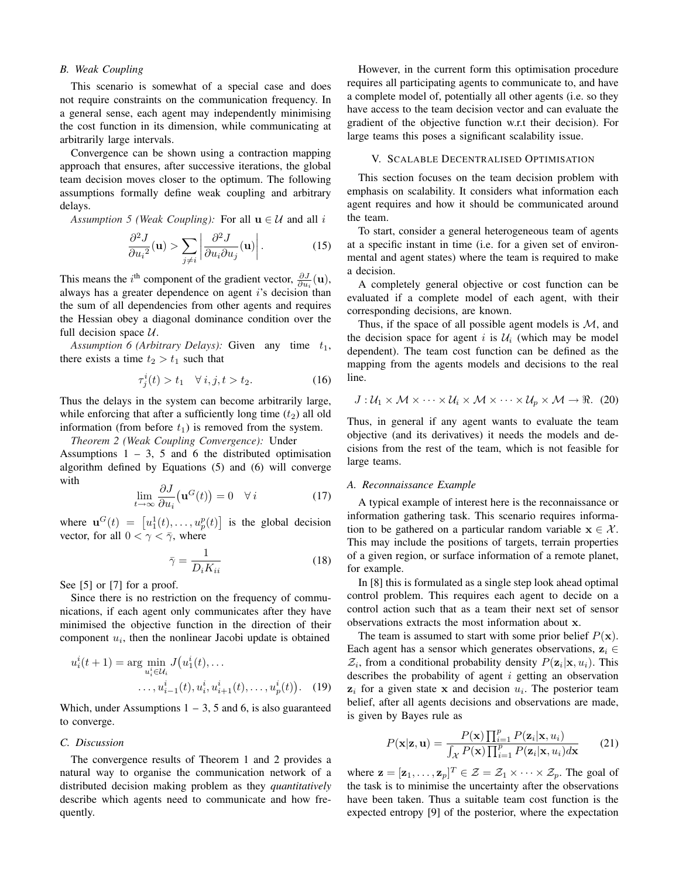## *B. Weak Coupling*

This scenario is somewhat of a special case and does not require constraints on the communication frequency. In a general sense, each agent may independently minimising the cost function in its dimension, while communicating at arbitrarily large intervals.

Convergence can be shown using a contraction mapping approach that ensures, after successive iterations, the global team decision moves closer to the optimum. The following assumptions formally define weak coupling and arbitrary delays.

*Assumption 5 (Weak Coupling):* For all  $\mathbf{u} \in \mathcal{U}$  and all i

$$
\frac{\partial^2 J}{\partial u_i^2}(\mathbf{u}) > \sum_{j \neq i} \left| \frac{\partial^2 J}{\partial u_i \partial u_j}(\mathbf{u}) \right|.
$$
 (15)

This means the *i*<sup>th</sup> component of the gradient vector,  $\frac{\partial J}{\partial u_i}(\mathbf{u})$ , always has a greater dependence on agent  $i$ 's decision than the sum of all dependencies from other agents and requires the Hessian obey a diagonal dominance condition over the full decision space  $U$ .

*Assumption 6 (Arbitrary Delays):* Given any time  $t_1$ , there exists a time  $t_2 > t_1$  such that

$$
\tau_j^i(t) > t_1 \quad \forall \ i, j, t > t_2. \tag{16}
$$

Thus the delays in the system can become arbitrarily large, while enforcing that after a sufficiently long time  $(t_2)$  all old information (from before  $t_1$ ) is removed from the system.

*Theorem 2 (Weak Coupling Convergence):* Under Assumptions  $1 - 3$ , 5 and 6 the distributed optimisation algorithm defined by Equations (5) and (6) will converge with

$$
\lim_{t \to \infty} \frac{\partial J}{\partial u_i}(\mathbf{u}^G(t)) = 0 \quad \forall i \tag{17}
$$

where  $\mathbf{u}^G(t) = [u_1^1(t), \dots, u_p^p(t)]$ ¤ is the global decision vector, for all  $0 < \gamma < \overline{\gamma}$ , where

$$
\bar{\gamma} = \frac{1}{D_i K_{ii}}\tag{18}
$$

See [5] or [7] for a proof.

Since there is no restriction on the frequency of communications, if each agent only communicates after they have minimised the objective function in the direction of their component  $u_i$ , then the nonlinear Jacobi update is obtained

$$
u_i^i(t+1) = \arg\min_{u_i^i \in \mathcal{U}_i} J(u_1^i(t), \dots
$$

$$
\dots, u_{i-1}^i(t), u_i^i, u_{i+1}^i(t), \dots, u_p^i(t)). \quad (19)
$$

Which, under Assumptions  $1 - 3$ , 5 and 6, is also guaranteed to converge.

#### *C. Discussion*

The convergence results of Theorem 1 and 2 provides a natural way to organise the communication network of a distributed decision making problem as they *quantitatively* describe which agents need to communicate and how frequently.

However, in the current form this optimisation procedure requires all participating agents to communicate to, and have a complete model of, potentially all other agents (i.e. so they have access to the team decision vector and can evaluate the gradient of the objective function w.r.t their decision). For large teams this poses a significant scalability issue.

## V. SCALABLE DECENTRALISED OPTIMISATION

This section focuses on the team decision problem with emphasis on scalability. It considers what information each agent requires and how it should be communicated around the team.

To start, consider a general heterogeneous team of agents at a specific instant in time (i.e. for a given set of environmental and agent states) where the team is required to make a decision.

A completely general objective or cost function can be evaluated if a complete model of each agent, with their corresponding decisions, are known.

Thus, if the space of all possible agent models is  $M$ , and the decision space for agent i is  $\mathcal{U}_i$  (which may be model dependent). The team cost function can be defined as the mapping from the agents models and decisions to the real line.

$$
J: \mathcal{U}_1 \times \mathcal{M} \times \cdots \times \mathcal{U}_i \times \mathcal{M} \times \cdots \times \mathcal{U}_p \times \mathcal{M} \rightarrow \Re. (20)
$$

Thus, in general if any agent wants to evaluate the team objective (and its derivatives) it needs the models and decisions from the rest of the team, which is not feasible for large teams.

#### *A. Reconnaissance Example*

A typical example of interest here is the reconnaissance or information gathering task. This scenario requires information to be gathered on a particular random variable  $x \in \mathcal{X}$ . This may include the positions of targets, terrain properties of a given region, or surface information of a remote planet, for example.

In [8] this is formulated as a single step look ahead optimal control problem. This requires each agent to decide on a control action such that as a team their next set of sensor observations extracts the most information about x.

The team is assumed to start with some prior belief  $P(\mathbf{x})$ . Each agent has a sensor which generates observations,  $z_i \in$  $\mathcal{Z}_i$ , from a conditional probability density  $P(\mathbf{z}_i|\mathbf{x}, u_i)$ . This describes the probability of agent  $i$  getting an observation  $z_i$  for a given state x and decision  $u_i$ . The posterior team belief, after all agents decisions and observations are made, is given by Bayes rule as

$$
P(\mathbf{x}|\mathbf{z}, \mathbf{u}) = \frac{P(\mathbf{x}) \prod_{i=1}^{p} P(\mathbf{z}_i | \mathbf{x}, u_i)}{\int_{\mathcal{X}} P(\mathbf{x}) \prod_{i=1}^{p} P(\mathbf{z}_i | \mathbf{x}, u_i) d\mathbf{x}} \qquad (21)
$$

where  $\mathbf{z} = [\mathbf{z}_1, \dots, \mathbf{z}_p]^T \in \mathcal{Z} = \mathcal{Z}_1 \times \dots \times \mathcal{Z}_p$ . The goal of the task is to minimise the uncertainty after the observations have been taken. Thus a suitable team cost function is the expected entropy [9] of the posterior, where the expectation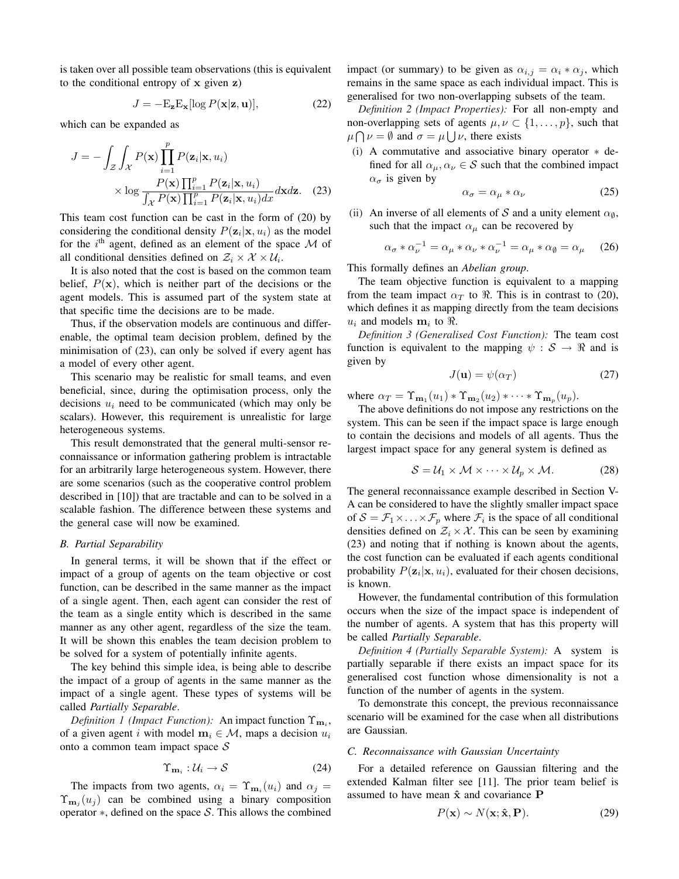is taken over all possible team observations (this is equivalent to the conditional entropy of  $x$  given  $z$ )

$$
J = -\mathbf{E}_{\mathbf{z}} \mathbf{E}_{\mathbf{x}} [\log P(\mathbf{x}|\mathbf{z}, \mathbf{u})],\tag{22}
$$

which can be expanded as

$$
J = -\int_{\mathcal{Z}} \int_{\mathcal{X}} P(\mathbf{x}) \prod_{i=1}^{p} P(\mathbf{z}_i | \mathbf{x}, u_i)
$$

$$
\times \log \frac{P(\mathbf{x}) \prod_{i=1}^{p} P(\mathbf{z}_i | \mathbf{x}, u_i)}{\int_{\mathcal{X}} P(\mathbf{x}) \prod_{i=1}^{p} P(\mathbf{z}_i | \mathbf{x}, u_i) dx} d\mathbf{x} d\mathbf{z}.
$$
 (23)

This team cost function can be cast in the form of (20) by considering the conditional density  $P(\mathbf{z}_i|\mathbf{x}, u_i)$  as the model for the  $i<sup>th</sup>$  agent, defined as an element of the space  $M$  of all conditional densities defined on  $\mathcal{Z}_i \times \mathcal{X} \times \mathcal{U}_i$ .

It is also noted that the cost is based on the common team belief,  $P(x)$ , which is neither part of the decisions or the agent models. This is assumed part of the system state at that specific time the decisions are to be made.

Thus, if the observation models are continuous and differenable, the optimal team decision problem, defined by the minimisation of (23), can only be solved if every agent has a model of every other agent.

This scenario may be realistic for small teams, and even beneficial, since, during the optimisation process, only the decisions  $u_i$  need to be communicated (which may only be scalars). However, this requirement is unrealistic for large heterogeneous systems.

This result demonstrated that the general multi-sensor reconnaissance or information gathering problem is intractable for an arbitrarily large heterogeneous system. However, there are some scenarios (such as the cooperative control problem described in [10]) that are tractable and can to be solved in a scalable fashion. The difference between these systems and the general case will now be examined.

#### *B. Partial Separability*

In general terms, it will be shown that if the effect or impact of a group of agents on the team objective or cost function, can be described in the same manner as the impact of a single agent. Then, each agent can consider the rest of the team as a single entity which is described in the same manner as any other agent, regardless of the size the team. It will be shown this enables the team decision problem to be solved for a system of potentially infinite agents.

The key behind this simple idea, is being able to describe the impact of a group of agents in the same manner as the impact of a single agent. These types of systems will be called *Partially Separable*.

*Definition 1 (Impact Function):* An impact function  $\Upsilon_{\mathbf{m}_i}$ , of a given agent i with model  $m_i \in \mathcal{M}$ , maps a decision  $u_i$ onto a common team impact space  $S$ 

$$
\Upsilon_{\mathbf{m}_i} : \mathcal{U}_i \to \mathcal{S} \tag{24}
$$

The impacts from two agents,  $\alpha_i = \Upsilon_{m_i}(u_i)$  and  $\alpha_j =$  $\Upsilon_{\mathbf{m}_j}(u_j)$  can be combined using a binary composition operator ∗, defined on the space S. This allows the combined impact (or summary) to be given as  $\alpha_{i,j} = \alpha_i * \alpha_j$ , which remains in the same space as each individual impact. This is generalised for two non-overlapping subsets of the team.

*Definition 2 (Impact Properties):* For all non-empty and non-overlapping sets of agents  $\mu, \nu \subset \{1, \dots, p\}$ , such that  $\mu \cap \nu = \emptyset$  and  $\sigma = \mu \cup \nu$ , there exists

(i) A commutative and associative binary operator ∗ defined for all  $\alpha_{\mu}, \alpha_{\nu} \in S$  such that the combined impact  $\alpha_{\sigma}$  is given by

$$
\alpha_{\sigma} = \alpha_{\mu} * \alpha_{\nu} \tag{25}
$$

(ii) An inverse of all elements of S and a unity element  $\alpha_{\emptyset}$ , such that the impact  $\alpha_{\mu}$  can be recovered by

$$
\alpha_{\sigma} * \alpha_{\nu}^{-1} = \alpha_{\mu} * \alpha_{\nu} * \alpha_{\nu}^{-1} = \alpha_{\mu} * \alpha_{\emptyset} = \alpha_{\mu} \quad (26)
$$

This formally defines an *Abelian group*.

The team objective function is equivalent to a mapping from the team impact  $\alpha_T$  to  $\Re$ . This is in contrast to (20), which defines it as mapping directly from the team decisions  $u_i$  and models  $m_i$  to  $\Re$ .

*Definition 3 (Generalised Cost Function):* The team cost function is equivalent to the mapping  $\psi : \mathcal{S} \to \mathbb{R}$  and is given by

$$
J(\mathbf{u}) = \psi(\alpha_T) \tag{27}
$$

where  $\alpha_T = \Upsilon_{\mathbf{m}_1}(u_1) * \Upsilon_{\mathbf{m}_2}(u_2) * \cdots * \Upsilon_{\mathbf{m}_p}(u_p)$ .

The above definitions do not impose any restrictions on the system. This can be seen if the impact space is large enough to contain the decisions and models of all agents. Thus the largest impact space for any general system is defined as

$$
S = U_1 \times M \times \cdots \times U_p \times M. \tag{28}
$$

The general reconnaissance example described in Section V-A can be considered to have the slightly smaller impact space of  $S = \mathcal{F}_1 \times \ldots \times \mathcal{F}_p$  where  $\mathcal{F}_i$  is the space of all conditional densities defined on  $\mathcal{Z}_i \times \mathcal{X}$ . This can be seen by examining (23) and noting that if nothing is known about the agents, the cost function can be evaluated if each agents conditional probability  $P(\mathbf{z}_i|\mathbf{x}, u_i)$ , evaluated for their chosen decisions, is known.

However, the fundamental contribution of this formulation occurs when the size of the impact space is independent of the number of agents. A system that has this property will be called *Partially Separable*.

*Definition 4 (Partially Separable System):* A system is partially separable if there exists an impact space for its generalised cost function whose dimensionality is not a function of the number of agents in the system.

To demonstrate this concept, the previous reconnaissance scenario will be examined for the case when all distributions are Gaussian.

## *C. Reconnaissance with Gaussian Uncertainty*

For a detailed reference on Gaussian filtering and the extended Kalman filter see [11]. The prior team belief is assumed to have mean  $\hat{x}$  and covariance  $P$ 

$$
P(\mathbf{x}) \sim N(\mathbf{x}; \hat{\mathbf{x}}, \mathbf{P}).
$$
 (29)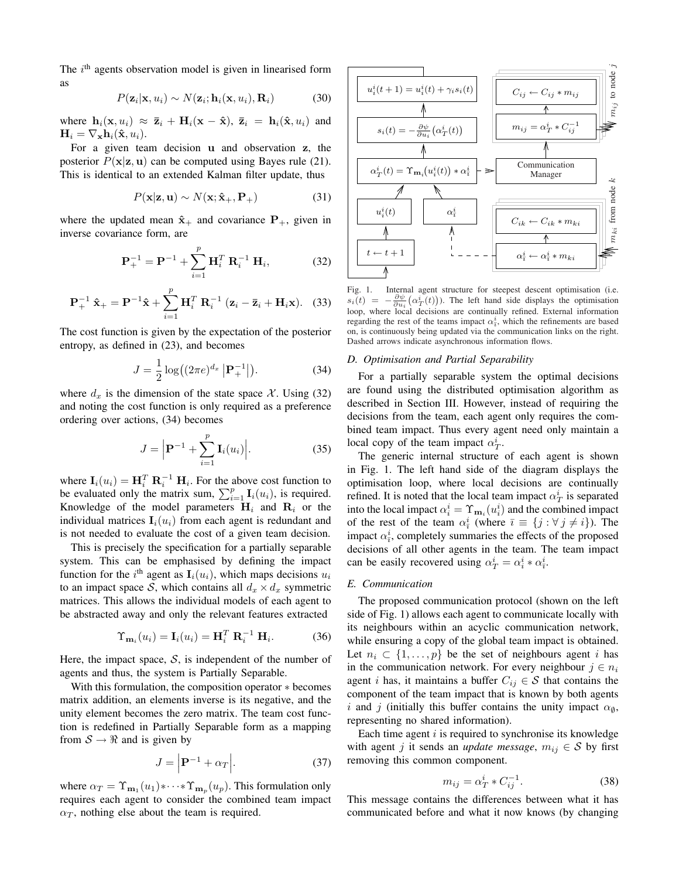The  $i<sup>th</sup>$  agents observation model is given in linearised form as

$$
P(\mathbf{z}_i|\mathbf{x}, u_i) \sim N(\mathbf{z}_i; \mathbf{h}_i(\mathbf{x}, u_i), \mathbf{R}_i)
$$
 (30)

where  $\mathbf{h}_i(\mathbf{x}, u_i) \approx \overline{\mathbf{z}}_i + \mathbf{H}_i(\mathbf{x} - \hat{\mathbf{x}}), \overline{\mathbf{z}}_i = \mathbf{h}_i(\hat{\mathbf{x}}, u_i)$  and  $\mathbf{H}_i = \nabla_{\mathbf{x}} \mathbf{h}_i(\hat{\mathbf{x}}, u_i).$ 

For a given team decision u and observation z, the posterior  $P(x|z, u)$  can be computed using Bayes rule (21). This is identical to an extended Kalman filter update, thus

$$
P(\mathbf{x}|\mathbf{z}, \mathbf{u}) \sim N(\mathbf{x}; \hat{\mathbf{x}}_{+}, \mathbf{P}_{+})
$$
 (31)

where the updated mean  $\hat{\mathbf{x}}_+$  and covariance  $\mathbf{P}_+$ , given in inverse covariance form, are

$$
\mathbf{P}_{+}^{-1} = \mathbf{P}^{-1} + \sum_{i=1}^{p} \mathbf{H}_{i}^{T} \mathbf{R}_{i}^{-1} \mathbf{H}_{i}, \qquad (32)
$$

$$
\mathbf{P}_{+}^{-1} \hat{\mathbf{x}}_{+} = \mathbf{P}^{-1} \hat{\mathbf{x}} + \sum_{i=1}^{p} \mathbf{H}_{i}^{T} \mathbf{R}_{i}^{-1} (\mathbf{z}_{i} - \bar{\mathbf{z}}_{i} + \mathbf{H}_{i} \mathbf{x}). \quad (33)
$$

The cost function is given by the expectation of the posterior entropy, as defined in (23), and becomes

$$
J = \frac{1}{2} \log((2\pi e)^{d_x} |\mathbf{P}_+^{-1}|). \tag{34}
$$

where  $d_x$  is the dimension of the state space X. Using (32) and noting the cost function is only required as a preference ordering over actions, (34) becomes

$$
J = \left| \mathbf{P}^{-1} + \sum_{i=1}^{p} \mathbf{I}_i(u_i) \right|.
$$
 (35)

where  $\mathbf{I}_i(u_i) = \mathbf{H}_i^T \mathbf{R}_i^{-1} \mathbf{H}_i$ . For the above cost function to where  $\mathbf{I}_i(u_i) = \mathbf{H}_i^T \mathbf{R}_i$ . For the above cost function to be evaluated only the matrix sum,  $\sum_{i=1}^p \mathbf{I}_i(u_i)$ , is required. Knowledge of the model parameters  $H_i$  and  $R_i$  or the individual matrices  $I_i(u_i)$  from each agent is redundant and is not needed to evaluate the cost of a given team decision.

This is precisely the specification for a partially separable system. This can be emphasised by defining the impact function for the i<sup>th</sup> agent as  $I_i(u_i)$ , which maps decisions  $u_i$ to an impact space S, which contains all  $d_x \times d_x$  symmetric matrices. This allows the individual models of each agent to be abstracted away and only the relevant features extracted

$$
\Upsilon_{\mathbf{m}_i}(u_i) = \mathbf{I}_i(u_i) = \mathbf{H}_i^T \ \mathbf{R}_i^{-1} \ \mathbf{H}_i. \tag{36}
$$

Here, the impact space,  $S$ , is independent of the number of agents and thus, the system is Partially Separable.

With this formulation, the composition operator ∗ becomes matrix addition, an elements inverse is its negative, and the unity element becomes the zero matrix. The team cost function is redefined in Partially Separable form as a mapping from  $S \rightarrow \Re$  and is given by

$$
J = \left| \mathbf{P}^{-1} + \alpha_T \right|.
$$
 (37)

where  $\alpha_T = \Upsilon_{\mathbf{m}_1}(u_1) * \cdots * \Upsilon_{\mathbf{m}_p}(u_p)$ . This formulation only requires each agent to consider the combined team impact  $\alpha_T$ , nothing else about the team is required.



Fig. 1. Internal agent structure for steepest descent optimisation (i.e.  $s_i(t) = -\frac{\partial \psi}{\partial u_i}(\alpha_T^i(t))$ . The left hand side displays the optimisation loop, where local decisions are continually refined. External information regarding the rest of the teams impact  $\alpha_{\overline{i}}^i$ , which the refinements are based on, is continuously being updated via the communication links on the right. Dashed arrows indicate asynchronous information flows.

#### *D. Optimisation and Partial Separability*

For a partially separable system the optimal decisions are found using the distributed optimisation algorithm as described in Section III. However, instead of requiring the decisions from the team, each agent only requires the combined team impact. Thus every agent need only maintain a local copy of the team impact  $\alpha_T^i$ .

The generic internal structure of each agent is shown in Fig. 1. The left hand side of the diagram displays the optimisation loop, where local decisions are continually refined. It is noted that the local team impact  $\alpha_T^i$  is separated into the local impact  $\alpha_i^i = \Upsilon_{\mathbf{m}_i}(u_i^i)$  and the combined impact of the rest of the team  $\alpha_{\bar{i}}^i$  (where  $\bar{i} \equiv \{j : \forall j \neq i\}$ ). The impact  $\alpha_i^i$ , completely summaries the effects of the proposed decisions of all other agents in the team. The team impact can be easily recovered using  $\alpha_T^i = \alpha_i^i * \alpha_i^i$ .

## *E. Communication*

The proposed communication protocol (shown on the left side of Fig. 1) allows each agent to communicate locally with its neighbours within an acyclic communication network, while ensuring a copy of the global team impact is obtained. Let  $n_i \subset \{1, \ldots, p\}$  be the set of neighbours agent i has in the communication network. For every neighbour  $j \in n_i$ agent *i* has, it maintains a buffer  $C_{ij} \in S$  that contains the component of the team impact that is known by both agents i and j (initially this buffer contains the unity impact  $\alpha_{\emptyset}$ , representing no shared information).

Each time agent  $i$  is required to synchronise its knowledge with agent j it sends an *update message*,  $m_{ij} \in S$  by first removing this common component.

$$
m_{ij} = \alpha_T^i * C_{ij}^{-1}.
$$
\n(38)

This message contains the differences between what it has communicated before and what it now knows (by changing